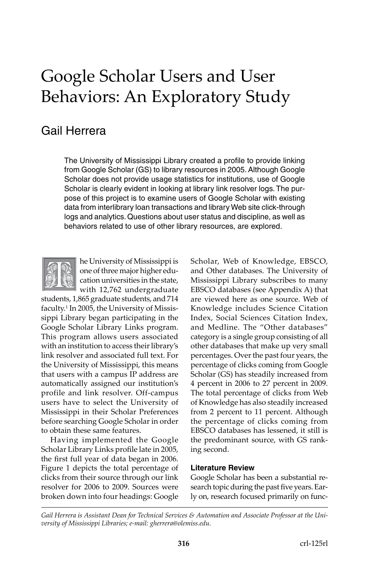# Google Scholar Users and User Behaviors: An Exploratory Study

# Gail Herrera

The University of Mississippi Library created a profile to provide linking from Google Scholar (GS) to library resources in 2005. Although Google Scholar does not provide usage statistics for institutions, use of Google Scholar is clearly evident in looking at library link resolver logs. The purpose of this project is to examine users of Google Scholar with existing data from interlibrary loan transactions and library Web site click-through logs and analytics. Questions about user status and discipline, as well as behaviors related to use of other library resources, are explored.



he University of Mississippi is one of three major higher education universities in the state, with 12,762 undergraduate

students, 1,865 graduate students, and 714 faculty.<sup>1</sup> In 2005, the University of Mississippi Library began participating in the Google Scholar Library Links program. This program allows users associated with an institution to access their library's link resolver and associated full text. For the University of Mississippi, this means that users with a campus IP address are automatically assigned our institution's profile and link resolver. Off-campus users have to select the University of Mississippi in their Scholar Preferences before searching Google Scholar in order to obtain these same features.

Having implemented the Google Scholar Library Links profile late in 2005, the first full year of data began in 2006. Figure 1 depicts the total percentage of clicks from their source through our link resolver for 2006 to 2009. Sources were broken down into four headings: Google Scholar, Web of Knowledge, EBSCO, and Other databases. The University of Mississippi Library subscribes to many EBSCO databases (see Appendix A) that are viewed here as one source. Web of Knowledge includes Science Citation Index, Social Sciences Citation Index, and Medline. The "Other databases" category is a single group consisting of all other databases that make up very small percentages. Over the past four years, the percentage of clicks coming from Google Scholar (GS) has steadily increased from 4 percent in 2006 to 27 percent in 2009. The total percentage of clicks from Web of Knowledge has also steadily increased from 2 percent to 11 percent. Although the percentage of clicks coming from EBSCO databases has lessened, it still is the predominant source, with GS ranking second.

#### **Literature Review**

Google Scholar has been a substantial research topic during the past five years. Early on, research focused primarily on func-

*Gail Herrera is Assistant Dean for Technical Services & Automation and Associate Professor at the University of Mississippi Libraries; e-mail: gherrera@olemiss.edu.*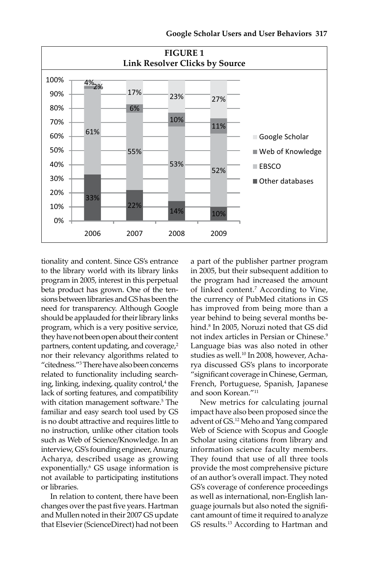

tionality and content. Since GS's entrance to the library world with its library links program in 2005, interest in this perpetual beta product has grown. One of the tensions between libraries and GS has been the need for transparency. Although Google should be applauded for their library links program, which is a very positive service, they have not been open about their content partners, content updating, and coverage,<sup>2</sup> nor their relevancy algorithms related to "citedness."3 There have also been concerns related to functionality including searching, linking, indexing, quality control,<sup>4</sup> the lack of sorting features, and compatibility with citation management software.<sup>5</sup> The familiar and easy search tool used by GS is no doubt attractive and requires little to no instruction, unlike other citation tools such as Web of Science/Knowledge. In an interview, GS's founding engineer, Anurag Acharya, described usage as growing exponentially.<sup>6</sup> GS usage information is not available to participating institutions or libraries.

In relation to content, there have been changes over the past five years. Hartman and Mullen noted in their 2007 GS update that Elsevier (ScienceDirect) had not been a part of the publisher partner program in 2005, but their subsequent addition to the program had increased the amount of linked content.7 According to Vine, the currency of PubMed citations in GS has improved from being more than a year behind to being several months behind.8 In 2005, Noruzi noted that GS did not index articles in Persian or Chinese.<sup>9</sup> Language bias was also noted in other studies as well.<sup>10</sup> In 2008, however, Acharya discussed GS's plans to incorporate "significant coverage in Chinese, German, French, Portuguese, Spanish, Japanese and soon Korean."11

New metrics for calculating journal impact have also been proposed since the advent of GS.12 Meho and Yang compared Web of Science with Scopus and Google Scholar using citations from library and information science faculty members. They found that use of all three tools provide the most comprehensive picture of an author's overall impact. They noted GS's coverage of conference proceedings as well as international, non-English language journals but also noted the significant amount of time it required to analyze GS results.<sup>13</sup> According to Hartman and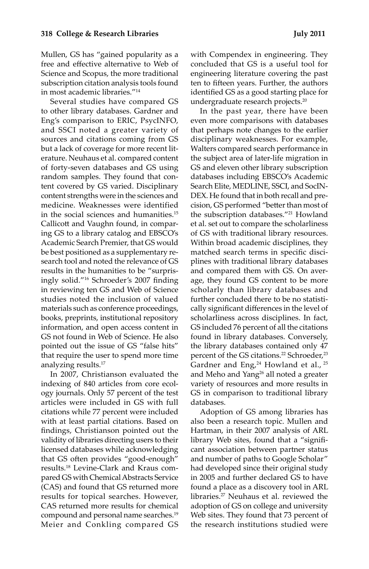Mullen, GS has "gained popularity as a free and effective alternative to Web of Science and Scopus, the more traditional subscription citation analysis tools found in most academic libraries."14

Several studies have compared GS to other library databases. Gardner and Eng's comparison to ERIC, PsycINFO, and SSCI noted a greater variety of sources and citations coming from GS but a lack of coverage for more recent literature. Neuhaus et al. compared content of forty-seven databases and GS using random samples. They found that content covered by GS varied. Disciplinary content strengths were in the sciences and medicine. Weaknesses were identified in the social sciences and humanities.<sup>15</sup> Callicott and Vaughn found, in comparing GS to a library catalog and EBSCO's Academic Search Premier, that GS would be best positioned as a supplementary research tool and noted the relevance of GS results in the humanities to be "surprisingly solid."16 Schroeder's 2007 finding in reviewing ten GS and Web of Science studies noted the inclusion of valued materials such as conference proceedings, books, preprints, institutional repository information, and open access content in GS not found in Web of Science. He also pointed out the issue of GS "false hits" that require the user to spend more time analyzing results.17

In 2007, Christianson evaluated the indexing of 840 articles from core ecology journals. Only 57 percent of the test articles were included in GS with full citations while 77 percent were included with at least partial citations. Based on findings, Christianson pointed out the validity of libraries directing users to their licensed databases while acknowledging that GS often provides "good-enough" results.18 Levine-Clark and Kraus compared GS with Chemical Abstracts Service (CAS) and found that GS returned more results for topical searches. However, CAS returned more results for chemical compound and personal name searches.19 Meier and Conkling compared GS

with Compendex in engineering. They concluded that GS is a useful tool for engineering literature covering the past ten to fifteen years. Further, the authors identified GS as a good starting place for undergraduate research projects.<sup>20</sup>

In the past year, there have been even more comparisons with databases that perhaps note changes to the earlier disciplinary weaknesses. For example, Walters compared search performance in the subject area of later-life migration in GS and eleven other library subscription databases including EBSCO's Academic Search Elite, MEDLINE, SSCI, and SocIN-DEX. He found that in both recall and precision, GS performed "better than most of the subscription databases."<sup>21</sup> Howland et al. set out to compare the scholarliness of GS with traditional library resources. Within broad academic disciplines, they matched search terms in specific disciplines with traditional library databases and compared them with GS. On average, they found GS content to be more scholarly than library databases and further concluded there to be no statistically significant differences in the level of scholarliness across disciplines. In fact, GS included 76 percent of all the citations found in library databases. Conversely, the library databases contained only 47 percent of the GS citations.<sup>22</sup> Schroeder,<sup>23</sup> Gardner and Eng, $24$  Howland et al.,  $25$ and Meho and Yang<sup>26</sup> all noted a greater variety of resources and more results in GS in comparison to traditional library databases.

Adoption of GS among libraries has also been a research topic. Mullen and Hartman, in their 2007 analysis of ARL library Web sites, found that a "significant association between partner status and number of paths to Google Scholar" had developed since their original study in 2005 and further declared GS to have found a place as a discovery tool in ARL libraries.<sup>27</sup> Neuhaus et al. reviewed the adoption of GS on college and university Web sites. They found that 73 percent of the research institutions studied were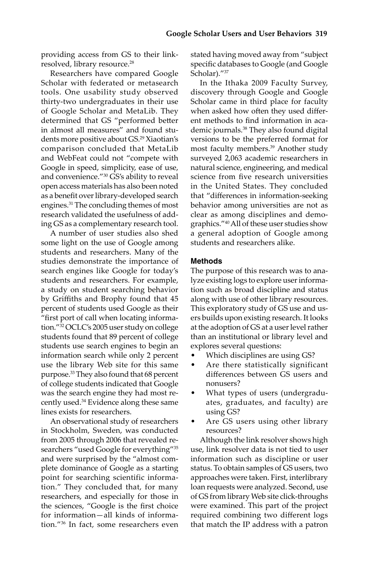providing access from GS to their linkresolved, library resource.<sup>28</sup>

Researchers have compared Google Scholar with federated or metasearch tools. One usability study observed thirty-two undergraduates in their use of Google Scholar and MetaLib. They determined that GS "performed better in almost all measures" and found students more positive about GS.29 Xiaotian's comparison concluded that MetaLib and WebFeat could not "compete with Google in speed, simplicity, ease of use, and convenience."30 GS's ability to reveal open access materials has also been noted as a benefit over library-developed search engines.31 The concluding themes of most research validated the usefulness of adding GS as a complementary research tool.

A number of user studies also shed some light on the use of Google among students and researchers. Many of the studies demonstrate the importance of search engines like Google for today's students and researchers. For example, a study on student searching behavior by Griffiths and Brophy found that 45 percent of students used Google as their "first port of call when locating information."32 OCLC's 2005 user study on college students found that 89 percent of college students use search engines to begin an information search while only 2 percent use the library Web site for this same purpose.33 They also found that 68 percent of college students indicated that Google was the search engine they had most recently used.34 Evidence along these same lines exists for researchers.

An observational study of researchers in Stockholm, Sweden, was conducted from 2005 through 2006 that revealed researchers "used Google for everything"<sup>35</sup> and were surprised by the "almost complete dominance of Google as a starting point for searching scientific information." They concluded that, for many researchers, and especially for those in the sciences, "Google is the first choice for information—all kinds of information."36 In fact, some researchers even stated having moved away from "subject specific databases to Google (and Google Scholar)."<sup>37</sup>

In the Ithaka 2009 Faculty Survey, discovery through Google and Google Scholar came in third place for faculty when asked how often they used different methods to find information in academic journals.38 They also found digital versions to be the preferred format for most faculty members.<sup>39</sup> Another study surveyed 2,063 academic researchers in natural science, engineering, and medical science from five research universities in the United States. They concluded that "differences in information-seeking behavior among universities are not as clear as among disciplines and demographics."40 All of these user studies show a general adoption of Google among students and researchers alike.

#### **Methods**

The purpose of this research was to analyze existing logs to explore user information such as broad discipline and status along with use of other library resources. This exploratory study of GS use and users builds upon existing research. It looks at the adoption of GS at a user level rather than an institutional or library level and explores several questions:

- Which disciplines are using GS?
- Are there statistically significant differences between GS users and nonusers?
- What types of users (undergraduates, graduates, and faculty) are using GS?
- Are GS users using other library resources?

Although the link resolver shows high use, link resolver data is not tied to user information such as discipline or user status. To obtain samples of GS users, two approaches were taken. First, interlibrary loan requests were analyzed. Second, use of GS from library Web site click-throughs were examined. This part of the project required combining two different logs that match the IP address with a patron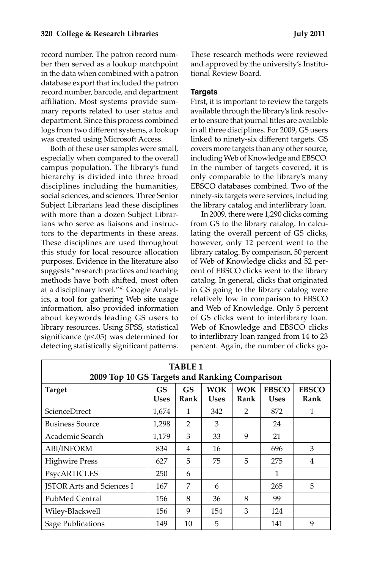record number. The patron record number then served as a lookup matchpoint in the data when combined with a patron database export that included the patron record number, barcode, and department affiliation. Most systems provide summary reports related to user status and department. Since this process combined logs from two different systems, a lookup was created using Microsoft Access.

Both of these user samples were small, especially when compared to the overall campus population. The library's fund hierarchy is divided into three broad disciplines including the humanities, social sciences, and sciences. Three Senior Subject Librarians lead these disciplines with more than a dozen Subject Librarians who serve as liaisons and instructors to the departments in these areas. These disciplines are used throughout this study for local resource allocation purposes. Evidence in the literature also suggests "research practices and teaching methods have both shifted, most often at a disciplinary level."41 Google Analytics, a tool for gathering Web site usage information, also provided information about keywords leading GS users to library resources. Using SPSS, statistical significance (*p*<.05) was determined for detecting statistically significant patterns.

These research methods were reviewed and approved by the university's Institutional Review Board.

# **Targets**

First, it is important to review the targets available through the library's link resolver to ensure that journal titles are available in all three disciplines. For 2009, GS users linked to ninety-six different targets. GS covers more targets than any other source, including Web of Knowledge and EBSCO. In the number of targets covered, it is only comparable to the library's many EBSCO databases combined. Two of the ninety-six targets were services, including the library catalog and interlibrary loan.

 In 2009, there were 1,290 clicks coming from GS to the library catalog. In calculating the overall percent of GS clicks, however, only 12 percent went to the library catalog. By comparison, 50 percent of Web of Knowledge clicks and 52 percent of EBSCO clicks went to the library catalog. In general, clicks that originated in GS going to the library catalog were relatively low in comparison to EBSCO and Web of Knowledge. Only 5 percent of GS clicks went to interlibrary loan. Web of Knowledge and EBSCO clicks to interlibrary loan ranged from 14 to 23 percent. Again, the number of clicks go-

| <b>TABLE 1</b><br>2009 Top 10 GS Targets and Ranking Comparison |                          |                   |                           |                    |                             |                      |  |  |
|-----------------------------------------------------------------|--------------------------|-------------------|---------------------------|--------------------|-----------------------------|----------------------|--|--|
| <b>Target</b>                                                   | <b>GS</b><br><b>Uses</b> | <b>GS</b><br>Rank | <b>WOK</b><br><b>Uses</b> | <b>WOK</b><br>Rank | <b>EBSCO</b><br><b>Uses</b> | <b>EBSCO</b><br>Rank |  |  |
| ScienceDirect                                                   | 1,674                    | 1                 | 342                       | $\mathcal{P}$      | 872                         | 1                    |  |  |
| <b>Business Source</b>                                          | 1,298                    | 2                 | 3                         |                    | 24                          |                      |  |  |
| Academic Search                                                 | 1,179                    | 3                 | 33                        | 9                  | 21                          |                      |  |  |
| <b>ABI/INFORM</b>                                               | 834                      | 4                 | 16                        |                    | 696                         | 3                    |  |  |
| <b>Highwire Press</b>                                           | 627                      | 5                 | 75                        | 5                  | 275                         | $\overline{4}$       |  |  |
| PsycARTICLES                                                    | 250                      | 6                 |                           |                    | $\mathbf{1}$                |                      |  |  |
| JSTOR Arts and Sciences I                                       | 167                      | 7                 | 6                         |                    | 265                         | 5                    |  |  |
| PubMed Central                                                  | 156                      | 8                 | 36                        | 8                  | 99                          |                      |  |  |
| Wiley-Blackwell                                                 | 156                      | 9                 | 154                       | 3                  | 124                         |                      |  |  |
| Sage Publications                                               | 149                      | 10                | 5                         |                    | 141                         | 9                    |  |  |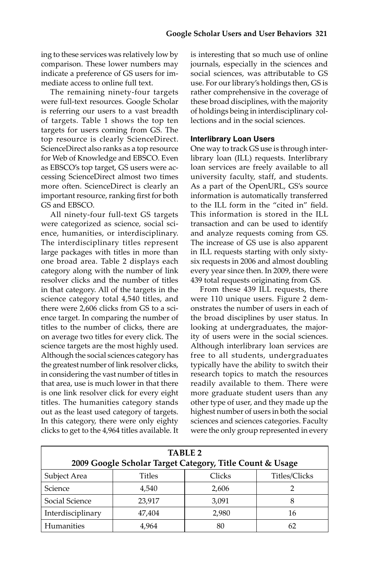ing to these services was relatively low by comparison. These lower numbers may indicate a preference of GS users for immediate access to online full text.

The remaining ninety-four targets were full-text resources. Google Scholar is referring our users to a vast breadth of targets. Table 1 shows the top ten targets for users coming from GS. The top resource is clearly ScienceDirect. ScienceDirect also ranks as a top resource for Web of Knowledge and EBSCO. Even as EBSCO's top target, GS users were accessing ScienceDirect almost two times more often. ScienceDirect is clearly an important resource, ranking first for both GS and EBSCO.

All ninety-four full-text GS targets were categorized as science, social science, humanities, or interdisciplinary. The interdisciplinary titles represent large packages with titles in more than one broad area. Table 2 displays each category along with the number of link resolver clicks and the number of titles in that category. All of the targets in the science category total 4,540 titles, and there were 2,606 clicks from GS to a science target. In comparing the number of titles to the number of clicks, there are on average two titles for every click. The science targets are the most highly used. Although the social sciences category has the greatest number of link resolver clicks, in considering the vast number of titles in that area, use is much lower in that there is one link resolver click for every eight titles. The humanities category stands out as the least used category of targets. In this category, there were only eighty clicks to get to the 4,964 titles available. It is interesting that so much use of online journals, especially in the sciences and social sciences, was attributable to GS use. For our library's holdings then, GS is rather comprehensive in the coverage of these broad disciplines, with the majority of holdings being in interdisciplinary collections and in the social sciences.

## **Interlibrary Loan Users**

One way to track GS use is through interlibrary loan (ILL) requests. Interlibrary loan services are freely available to all university faculty, staff, and students. As a part of the OpenURL, GS's source information is automatically transferred to the ILL form in the "cited in" field. This information is stored in the ILL transaction and can be used to identify and analyze requests coming from GS. The increase of GS use is also apparent in ILL requests starting with only sixtysix requests in 2006 and almost doubling every year since then. In 2009, there were 439 total requests originating from GS.

From these 439 ILL requests, there were 110 unique users. Figure 2 demonstrates the number of users in each of the broad disciplines by user status. In looking at undergraduates, the majority of users were in the social sciences. Although interlibrary loan services are free to all students, undergraduates typically have the ability to switch their research topics to match the resources readily available to them. There were more graduate student users than any other type of user, and they made up the highest number of users in both the social sciences and sciences categories. Faculty were the only group represented in every

| TABLE 2<br>2009 Google Scholar Target Category, Title Count & Usage |               |        |               |  |  |  |
|---------------------------------------------------------------------|---------------|--------|---------------|--|--|--|
| Subject Area                                                        | <b>Titles</b> | Clicks | Titles/Clicks |  |  |  |
| Science                                                             | 4,540         | 2,606  |               |  |  |  |
| Social Science                                                      | 23,917        | 3,091  |               |  |  |  |
| Interdisciplinary                                                   | 47,404        | 2,980  | 16            |  |  |  |
| Humanities                                                          | 4.964         | 80     | 62            |  |  |  |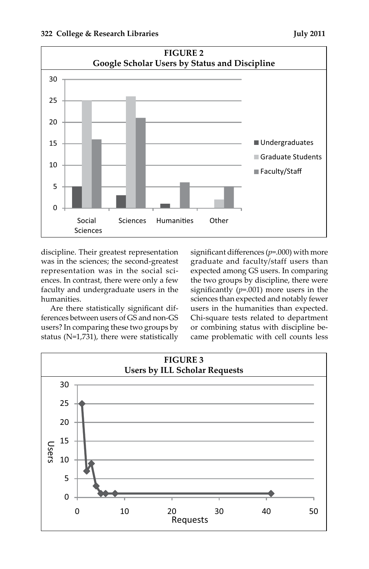



discipline. Their greatest representation was in the sciences; the second-greatest representation was in the social sciences. In contrast, there were only a few faculty and undergraduate users in the humanities.

Are there statistically significant differences between users of GS and non-GS users? In comparing these two groups by status (N=1,731), there were statistically

significant differences (*p*=.000) with more graduate and faculty/staff users than expected among GS users. In comparing the two groups by discipline, there were significantly (*p*=.001) more users in the sciences than expected and notably fewer users in the humanities than expected. Chi-square tests related to department or combining status with discipline became problematic with cell counts less

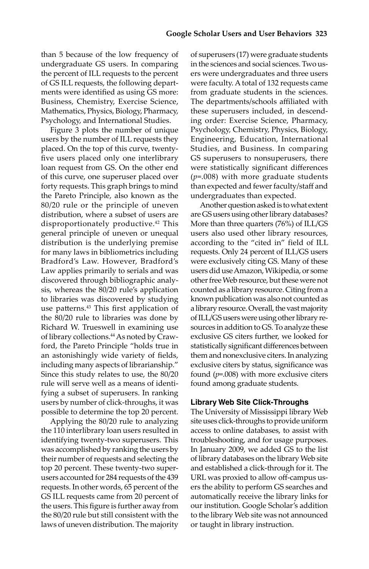than 5 because of the low frequency of undergraduate GS users. In comparing the percent of ILL requests to the percent of GS ILL requests, the following departments were identified as using GS more: Business, Chemistry, Exercise Science, Mathematics, Physics, Biology, Pharmacy, Psychology, and International Studies.

Figure 3 plots the number of unique users by the number of ILL requests they placed. On the top of this curve, twentyfive users placed only one interlibrary loan request from GS. On the other end of this curve, one superuser placed over forty requests. This graph brings to mind the Pareto Principle, also known as the 80/20 rule or the principle of uneven distribution, where a subset of users are disproportionately productive.42 This general principle of uneven or unequal distribution is the underlying premise for many laws in bibliometrics including Bradford's Law. However, Bradford's Law applies primarily to serials and was discovered through bibliographic analysis, whereas the 80/20 rule's application to libraries was discovered by studying use patterns.43 This first application of the 80/20 rule to libraries was done by Richard W. Trueswell in examining use of library collections.44 As noted by Crawford, the Pareto Principle "holds true in an astonishingly wide variety of fields, including many aspects of librarianship." Since this study relates to use, the 80/20 rule will serve well as a means of identifying a subset of superusers. In ranking users by number of click-throughs, it was possible to determine the top 20 percent.

Applying the 80/20 rule to analyzing the 110 interlibrary loan users resulted in identifying twenty-two superusers. This was accomplished by ranking the users by their number of requests and selecting the top 20 percent. These twenty-two superusers accounted for 284 requests of the 439 requests. In other words, 65 percent of the GS ILL requests came from 20 percent of the users. This figure is further away from the 80/20 rule but still consistent with the laws of uneven distribution. The majority

of superusers (17) were graduate students in the sciences and social sciences. Two users were undergraduates and three users were faculty. A total of 132 requests came from graduate students in the sciences. The departments/schools affiliated with these superusers included, in descending order: Exercise Science, Pharmacy, Psychology, Chemistry, Physics, Biology, Engineering, Education, International Studies, and Business. In comparing GS superusers to nonsuperusers, there were statistically significant differences (*p*=.008) with more graduate students than expected and fewer faculty/staff and undergraduates than expected.

Another question asked is to what extent are GS users using other library databases? More than three quarters (76%) of ILL/GS users also used other library resources, according to the "cited in" field of ILL requests. Only 24 percent of ILL/GS users were exclusively citing GS. Many of these users did use Amazon, Wikipedia, or some other free Web resource, but these were not counted as a library resource. Citing from a known publication was also not counted as a library resource. Overall, the vast majority of ILL/GS users were using other library resources in addition to GS. To analyze these exclusive GS citers further, we looked for statistically significant differences between them and nonexclusive citers. In analyzing exclusive citers by status, significance was found (*p*=.008) with more exclusive citers found among graduate students.

#### **Library Web Site Click-Throughs**

The University of Mississippi library Web site uses click-throughs to provide uniform access to online databases, to assist with troubleshooting, and for usage purposes. In January 2009, we added GS to the list of library databases on the library Web site and established a click-through for it. The URL was proxied to allow off-campus users the ability to perform GS searches and automatically receive the library links for our institution. Google Scholar's addition to the library Web site was not announced or taught in library instruction.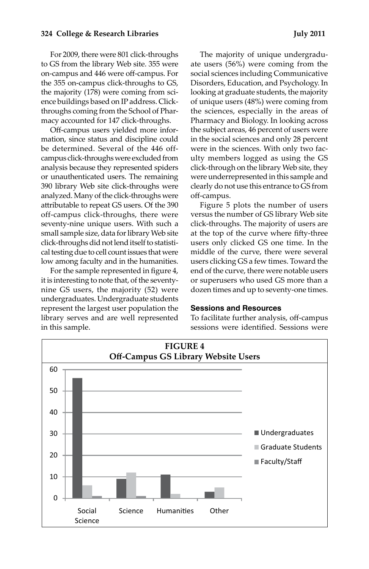#### **324  College & Research Libraries July 2011**

For 2009, there were 801 click-throughs to GS from the library Web site. 355 were on-campus and 446 were off-campus. For the 355 on-campus click-throughs to GS, the majority (178) were coming from science buildings based on IP address. Clickthroughs coming from the School of Pharmacy accounted for 147 click-throughs.

Off-campus users yielded more information, since status and discipline could be determined. Several of the 446 offcampus click-throughs were excluded from analysis because they represented spiders or unauthenticated users. The remaining 390 library Web site click-throughs were analyzed. Many of the click-throughs were attributable to repeat GS users. Of the 390 off-campus click-throughs, there were seventy-nine unique users. With such a small sample size, data for library Web site click-throughs did not lend itself to statistical testing due to cell count issues that were low among faculty and in the humanities.

For the sample represented in figure 4, it is interesting to note that, of the seventynine GS users, the majority (52) were undergraduates. Undergraduate students represent the largest user population the library serves and are well represented in this sample.

The majority of unique undergraduate users (56%) were coming from the social sciences including Communicative Disorders, Education, and Psychology. In looking at graduate students, the majority of unique users (48%) were coming from the sciences, especially in the areas of Pharmacy and Biology. In looking across the subject areas, 46 percent of users were in the social sciences and only 28 percent were in the sciences. With only two faculty members logged as using the GS click-through on the library Web site, they were underrepresented in this sample and clearly do not use this entrance to GS from off-campus.

Figure 5 plots the number of users versus the number of GS library Web site click-throughs. The majority of users are at the top of the curve where fifty-three users only clicked GS one time. In the middle of the curve, there were several users clicking GS a few times. Toward the end of the curve, there were notable users or superusers who used GS more than a dozen times and up to seventy-one times.

### **Sessions and Resources**

To facilitate further analysis, off-campus sessions were identified. Sessions were

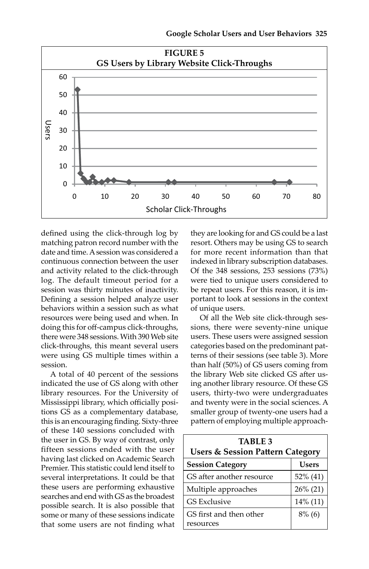

defined using the click-through log by matching patron record number with the date and time. A session was considered a continuous connection between the user and activity related to the click-through log. The default timeout period for a session was thirty minutes of inactivity. Defining a session helped analyze user behaviors within a session such as what resources were being used and when. In doing this for off-campus click-throughs, there were 348 sessions. With 390 Web site click-throughs, this meant several users were using GS multiple times within a session.

A total of 40 percent of the sessions indicated the use of GS along with other library resources. For the University of Mississippi library, which officially positions GS as a complementary database, this is an encouraging finding. Sixty-three of these 140 sessions concluded with the user in GS. By way of contrast, only fifteen sessions ended with the user having last clicked on Academic Search Premier. This statistic could lend itself to several interpretations. It could be that these users are performing exhaustive searches and end with GS as the broadest possible search. It is also possible that some or many of these sessions indicate that some users are not finding what

they are looking for and GS could be a last resort. Others may be using GS to search for more recent information than that indexed in library subscription databases. Of the 348 sessions, 253 sessions (73%) were tied to unique users considered to be repeat users. For this reason, it is important to look at sessions in the context of unique users.

Of all the Web site click-through sessions, there were seventy-nine unique users. These users were assigned session categories based on the predominant patterns of their sessions (see table 3). More than half (50%) of GS users coming from the library Web site clicked GS after using another library resource. Of these GS users, thirty-two were undergraduates and twenty were in the social sciences. A smaller group of twenty-one users had a pattern of employing multiple approach-

| <b>TABLE 3</b><br><b>Users &amp; Session Pattern Category</b> |              |  |  |  |  |
|---------------------------------------------------------------|--------------|--|--|--|--|
| <b>Session Category</b>                                       | <b>Users</b> |  |  |  |  |
| GS after another resource                                     | 52% (41)     |  |  |  |  |
| Multiple approaches                                           | 26% (21)     |  |  |  |  |
| <b>GS</b> Exclusive                                           | 14% (11)     |  |  |  |  |
| GS first and then other                                       | $8\%$ (6)    |  |  |  |  |
| resources                                                     |              |  |  |  |  |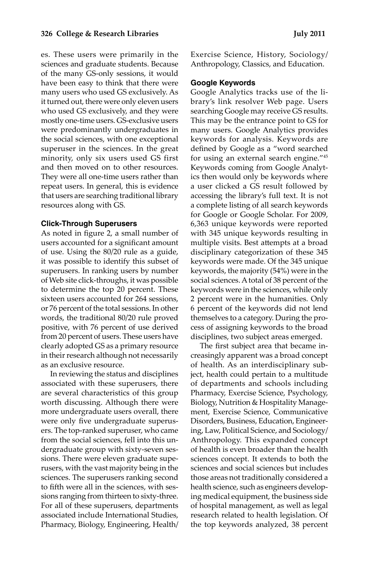es. These users were primarily in the sciences and graduate students. Because of the many GS-only sessions, it would have been easy to think that there were many users who used GS exclusively. As it turned out, there were only eleven users who used GS exclusively, and they were mostly one-time users. GS-exclusive users were predominantly undergraduates in the social sciences, with one exceptional superuser in the sciences. In the great minority, only six users used GS first and then moved on to other resources. They were all one-time users rather than repeat users. In general, this is evidence that users are searching traditional library resources along with GS.

#### **Click-Through Superusers**

As noted in figure 2, a small number of users accounted for a significant amount of use. Using the 80/20 rule as a guide, it was possible to identify this subset of superusers. In ranking users by number of Web site click-throughs, it was possible to determine the top 20 percent. These sixteen users accounted for 264 sessions, or 76 percent of the total sessions. In other words, the traditional 80/20 rule proved positive, with 76 percent of use derived from 20 percent of users. These users have clearly adopted GS as a primary resource in their research although not necessarily as an exclusive resource.

In reviewing the status and disciplines associated with these superusers, there are several characteristics of this group worth discussing. Although there were more undergraduate users overall, there were only five undergraduate superusers. The top-ranked superuser, who came from the social sciences, fell into this undergraduate group with sixty-seven sessions. There were eleven graduate superusers, with the vast majority being in the sciences. The superusers ranking second to fifth were all in the sciences, with sessions ranging from thirteen to sixty-three. For all of these superusers, departments associated include International Studies, Pharmacy, Biology, Engineering, Health/

Exercise Science, History, Sociology/ Anthropology, Classics, and Education.

## **Google Keywords**

Google Analytics tracks use of the library's link resolver Web page. Users searching Google may receive GS results. This may be the entrance point to GS for many users. Google Analytics provides keywords for analysis. Keywords are defined by Google as a "word searched for using an external search engine."45 Keywords coming from Google Analytics then would only be keywords where a user clicked a GS result followed by accessing the library's full text. It is not a complete listing of all search keywords for Google or Google Scholar. For 2009, 6,363 unique keywords were reported with 345 unique keywords resulting in multiple visits. Best attempts at a broad disciplinary categorization of these 345 keywords were made. Of the 345 unique keywords, the majority (54%) were in the social sciences. A total of 38 percent of the keywords were in the sciences, while only 2 percent were in the humanities. Only 6 percent of the keywords did not lend themselves to a category. During the process of assigning keywords to the broad disciplines, two subject areas emerged.

The first subject area that became increasingly apparent was a broad concept of health. As an interdisciplinary subject, health could pertain to a multitude of departments and schools including Pharmacy, Exercise Science, Psychology, Biology, Nutrition & Hospitality Management, Exercise Science, Communicative Disorders, Business, Education, Engineering, Law, Political Science, and Sociology/ Anthropology. This expanded concept of health is even broader than the health sciences concept. It extends to both the sciences and social sciences but includes those areas not traditionally considered a health science, such as engineers developing medical equipment, the business side of hospital management, as well as legal research related to health legislation. Of the top keywords analyzed, 38 percent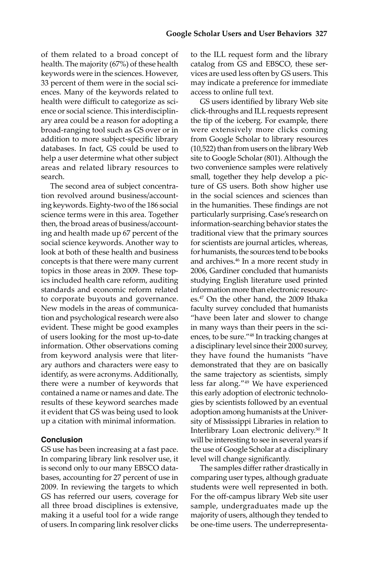of them related to a broad concept of health. The majority (67%) of these health keywords were in the sciences. However, 33 percent of them were in the social sciences. Many of the keywords related to health were difficult to categorize as science or social science. This interdisciplinary area could be a reason for adopting a broad-ranging tool such as GS over or in addition to more subject-specific library databases. In fact, GS could be used to help a user determine what other subject areas and related library resources to search.

The second area of subject concentration revolved around business/accounting keywords. Eighty-two of the 186 social science terms were in this area. Together then, the broad areas of business/accounting and health made up 67 percent of the social science keywords. Another way to look at both of these health and business concepts is that there were many current topics in those areas in 2009. These topics included health care reform, auditing standards and economic reform related to corporate buyouts and governance. New models in the areas of communication and psychological research were also evident. These might be good examples of users looking for the most up-to-date information. Other observations coming from keyword analysis were that literary authors and characters were easy to identify, as were acronyms. Additionally, there were a number of keywords that contained a name or names and date. The results of these keyword searches made it evident that GS was being used to look up a citation with minimal information.

#### **Conclusion**

GS use has been increasing at a fast pace. In comparing library link resolver use, it is second only to our many EBSCO databases, accounting for 27 percent of use in 2009. In reviewing the targets to which GS has referred our users, coverage for all three broad disciplines is extensive, making it a useful tool for a wide range of users. In comparing link resolver clicks

to the ILL request form and the library catalog from GS and EBSCO, these services are used less often by GS users. This may indicate a preference for immediate access to online full text.

GS users identified by library Web site click-throughs and ILL requests represent the tip of the iceberg. For example, there were extensively more clicks coming from Google Scholar to library resources (10,522) than from users on the library Web site to Google Scholar (801). Although the two convenience samples were relatively small, together they help develop a picture of GS users. Both show higher use in the social sciences and sciences than in the humanities. These findings are not particularly surprising. Case's research on information-searching behavior states the traditional view that the primary sources for scientists are journal articles, whereas, for humanists, the sources tend to be books and archives.<sup>46</sup> In a more recent study in 2006, Gardiner concluded that humanists studying English literature used printed information more than electronic resources.47 On the other hand, the 2009 Ithaka faculty survey concluded that humanists "have been later and slower to change in many ways than their peers in the sciences, to be sure."48 In tracking changes at a disciplinary level since their 2000 survey, they have found the humanists "have demonstrated that they are on basically the same trajectory as scientists, simply less far along."49 We have experienced this early adoption of electronic technologies by scientists followed by an eventual adoption among humanists at the University of Mississippi Libraries in relation to Interlibrary Loan electronic delivery.50 It will be interesting to see in several years if the use of Google Scholar at a disciplinary level will change significantly.

The samples differ rather drastically in comparing user types, although graduate students were well represented in both. For the off-campus library Web site user sample, undergraduates made up the majority of users, although they tended to be one-time users. The underrepresenta-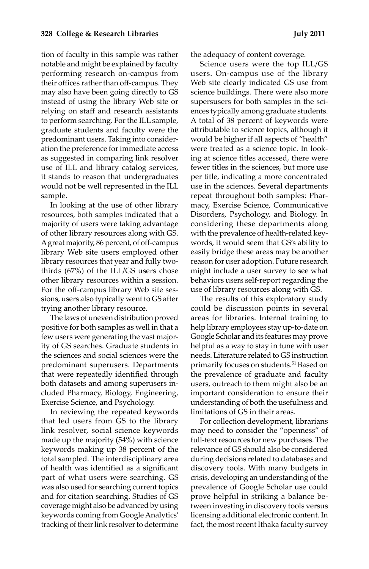tion of faculty in this sample was rather notable and might be explained by faculty performing research on-campus from their offices rather than off-campus. They may also have been going directly to GS instead of using the library Web site or relying on staff and research assistants to perform searching. For the ILL sample, graduate students and faculty were the predominant users. Taking into consideration the preference for immediate access as suggested in comparing link resolver use of ILL and library catalog services, it stands to reason that undergraduates would not be well represented in the ILL sample.

In looking at the use of other library resources, both samples indicated that a majority of users were taking advantage of other library resources along with GS. A great majority, 86 percent, of off-campus library Web site users employed other library resources that year and fully twothirds (67%) of the ILL/GS users chose other library resources within a session. For the off-campus library Web site sessions, users also typically went to GS after trying another library resource.

The laws of uneven distribution proved positive for both samples as well in that a few users were generating the vast majority of GS searches. Graduate students in the sciences and social sciences were the predominant superusers. Departments that were repeatedly identified through both datasets and among superusers included Pharmacy, Biology, Engineering, Exercise Science, and Psychology.

In reviewing the repeated keywords that led users from GS to the library link resolver, social science keywords made up the majority (54%) with science keywords making up 38 percent of the total sampled. The interdisciplinary area of health was identified as a significant part of what users were searching. GS was also used for searching current topics and for citation searching. Studies of GS coverage might also be advanced by using keywords coming from Google Analytics' tracking of their link resolver to determine

the adequacy of content coverage.

Science users were the top ILL/GS users. On-campus use of the library Web site clearly indicated GS use from science buildings. There were also more supersusers for both samples in the sciences typically among graduate students. A total of 38 percent of keywords were attributable to science topics, although it would be higher if all aspects of "health" were treated as a science topic. In looking at science titles accessed, there were fewer titles in the sciences, but more use per title, indicating a more concentrated use in the sciences. Several departments repeat throughout both samples: Pharmacy, Exercise Science, Communicative Disorders, Psychology, and Biology. In considering these departments along with the prevalence of health-related keywords, it would seem that GS's ability to easily bridge these areas may be another reason for user adoption. Future research might include a user survey to see what behaviors users self-report regarding the use of library resources along with GS.

The results of this exploratory study could be discussion points in several areas for libraries. Internal training to help library employees stay up-to-date on Google Scholar and its features may prove helpful as a way to stay in tune with user needs. Literature related to GS instruction primarily focuses on students.51 Based on the prevalence of graduate and faculty users, outreach to them might also be an important consideration to ensure their understanding of both the usefulness and limitations of GS in their areas.

For collection development, librarians may need to consider the "openness" of full-text resources for new purchases. The relevance of GS should also be considered during decisions related to databases and discovery tools. With many budgets in crisis, developing an understanding of the prevalence of Google Scholar use could prove helpful in striking a balance between investing in discovery tools versus licensing additional electronic content. In fact, the most recent Ithaka faculty survey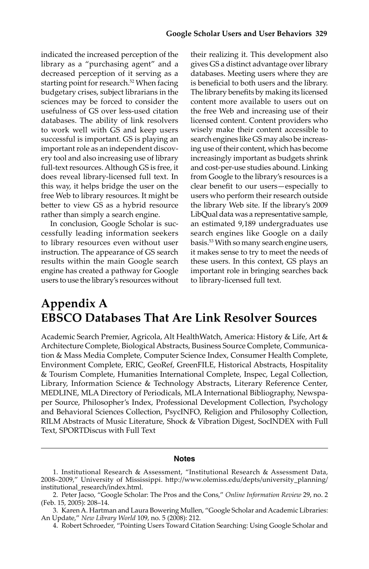indicated the increased perception of the library as a "purchasing agent" and a decreased perception of it serving as a starting point for research.<sup>52</sup> When facing budgetary crises, subject librarians in the sciences may be forced to consider the usefulness of GS over less-used citation databases. The ability of link resolvers to work well with GS and keep users successful is important. GS is playing an important role as an independent discovery tool and also increasing use of library full-text resources. Although GS is free, it does reveal library-licensed full text. In this way, it helps bridge the user on the free Web to library resources. It might be better to view GS as a hybrid resource rather than simply a search engine.

In conclusion, Google Scholar is successfully leading information seekers to library resources even without user instruction. The appearance of GS search results within the main Google search engine has created a pathway for Google users to use the library's resources without their realizing it. This development also gives GS a distinct advantage over library databases. Meeting users where they are is beneficial to both users and the library. The library benefits by making its licensed content more available to users out on the free Web and increasing use of their licensed content. Content providers who wisely make their content accessible to search engines like GS may also be increasing use of their content, which has become increasingly important as budgets shrink and cost-per-use studies abound. Linking from Google to the library's resources is a clear benefit to our users—especially to users who perform their research outside the library Web site. If the library's 2009 LibQual data was a representative sample, an estimated 9,189 undergraduates use search engines like Google on a daily basis.53 With so many search engine users, it makes sense to try to meet the needs of these users. In this context, GS plays an important role in bringing searches back to library-licensed full text.

# **Appendix A EBSCO Databases That Are Link Resolver Sources**

Academic Search Premier, Agricola, Alt HealthWatch, America: History & Life, Art & Architecture Complete, Biological Abstracts, Business Source Complete, Communication & Mass Media Complete, Computer Science Index, Consumer Health Complete, Environment Complete, ERIC, GeoRef, GreenFILE, Historical Abstracts, Hospitality & Tourism Complete, Humanities International Complete, Inspec, Legal Collection, Library, Information Science & Technology Abstracts, Literary Reference Center, MEDLINE, MLA Directory of Periodicals, MLA International Bibliography, Newspaper Source, Philosopher's Index, Professional Development Collection, Psychology and Behavioral Sciences Collection, PsycINFO, Religion and Philosophy Collection, RILM Abstracts of Music Literature, Shock & Vibration Digest, SocINDEX with Full Text, SPORTDiscus with Full Text

#### **Notes**

 <sup>1.</sup> Institutional Research & Assessment, "Institutional Research & Assessment Data, 2008–2009," University of Mississippi. http://www.olemiss.edu/depts/university\_planning/ institutional\_research/index.html.

 <sup>2.</sup> Peter Jacso, "Google Scholar: The Pros and the Cons," *Online Information Review* 29, no. 2 (Feb. 15, 2005): 208–14.

 <sup>3.</sup> Karen A. Hartman and Laura Bowering Mullen, "Google Scholar and Academic Libraries: An Update," *New Library World* 109, no. 5 (2008): 212.

 <sup>4.</sup> Robert Schroeder, "Pointing Users Toward Citation Searching: Using Google Scholar and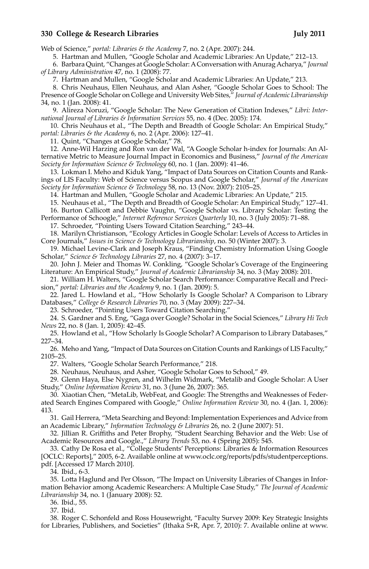#### **330  College & Research Libraries July 2011**

Web of Science," *portal: Libraries & the Academy* 7, no. 2 (Apr. 2007): 244.

5. Hartman and Mullen, "Google Scholar and Academic Libraries: An Update," 212–13.

 6. Barbara Quint, "Changes at Google Scholar: A Conversation with Anurag Acharya," *Journal of Library Administration* 47, no. 1 (2008): 77.

7. Hartman and Mullen, "Google Scholar and Academic Libraries: An Update," 213.

 8. Chris Neuhaus, Ellen Neuhaus, and Alan Asher, "Google Scholar Goes to School: The Presence of Google Scholar on College and University Web Sites," *Journal of Academic Librarianship* 34, no. 1 (Jan. 2008): 41.

 9. Alireza Noruzi, "Google Scholar: The New Generation of Citation Indexes," *Libri: International Journal of Libraries & Information Services* 55, no. 4 (Dec. 2005): 174.

 10. Chris Neuhaus et al., "The Depth and Breadth of Google Scholar: An Empirical Study," *portal: Libraries & the Academy* 6, no. 2 (Apr. 2006): 127–41.

11. Quint, "Changes at Google Scholar," 78.

 12. Anne-Wil Harzing and Ron van der Wal, "A Google Scholar h-index for Journals: An Alternative Metric to Measure Journal Impact in Economics and Business," *Journal of the American Society for Information Science & Technology* 60, no. 1 (Jan. 2009): 41–46.

13. Lokman I. Meho and Kiduk Yang, "Impact of Data Sources on Citation Counts and Rankings of LIS Faculty: Web of Science versus Scopus and Google Scholar," *Journal of the American Society for Information Science & Technology* 58, no. 13 (Nov. 2007): 2105–25.

14. Hartman and Mullen, "Google Scholar and Academic Libraries: An Update," 215.

15. Neuhaus et al., "The Depth and Breadth of Google Scholar: An Empirical Study," 127–41.

16. Burton Callicott and Debbie Vaughn, "Google Scholar vs. Library Scholar: Testing the Performance of Schoogle," *Internet Reference Services Quarterly* 10, no. 3 (July 2005): 71–88.

17. Schroeder, "Pointing Users Toward Citation Searching," 243–44.

18. Marilyn Christianson, "Ecology Articles in Google Scholar: Levels of Access to Articles in Core Journals," *Issues in Science & Technology Librarianship*, no. 50 (Winter 2007): 3.

19. Michael Levine-Clark and Joseph Kraus, "Finding Chemistry Information Using Google Scholar," *Science & Technology Libraries* 27, no. 4 (2007): 3–17.

20. John J. Meier and Thomas W. Conkling, "Google Scholar's Coverage of the Engineering Literature: An Empirical Study," *Journal of Academic Librarianship* 34, no. 3 (May 2008): 201.

21. William H. Walters, "Google Scholar Search Performance: Comparative Recall and Precision," *portal: Libraries and the Academy* 9, no. 1 (Jan. 2009): 5.

22. Jared L. Howland et al., "How Scholarly Is Google Scholar? A Comparison to Library Databases," *College & Research Libraries* 70, no. 3 (May 2009): 227–34.

23. Schroeder, "Pointing Users Toward Citation Searching."

24. S. Gardner and S. Eng, "Gaga over Google? Scholar in the Social Sciences," *Library Hi Tech News* 22, no. 8 (Jan. 1, 2005): 42–45.

25. Howland et al., "How Scholarly Is Google Scholar? A Comparison to Library Databases," 227–34.

26. Meho and Yang, "Impact of Data Sources on Citation Counts and Rankings of LIS Faculty," 2105–25.

27. Walters, "Google Scholar Search Performance," 218.

28. Neuhaus, Neuhaus, and Asher, "Google Scholar Goes to School," 49.

29. Glenn Haya, Else Nygren, and Wilhelm Widmark, "Metalib and Google Scholar: A User Study," *Online Information Review* 31, no. 3 (June 26, 2007): 365.

30. Xiaotian Chen, "MetaLib, WebFeat, and Google: The Strengths and Weaknesses of Federated Search Engines Compared with Google," *Online Information Review* 30, no. 4 (Jan. 1, 2006): 413.

31. Gail Herrera, "Meta Searching and Beyond: Implementation Experiences and Advice from an Academic Library," *Information Technology & Libraries* 26, no. 2 (June 2007): 51.

32. Jillian R. Griffiths and Peter Brophy, "Student Searching Behavior and the Web: Use of Academic Resources and Google.," *Library Trends* 53, no. 4 (Spring 2005): 545.

33. Cathy De Rosa et al., "College Students' Perceptions: Libraries & Information Resources [OCLC: Reports]," 2005, 6-2. Available online at www.oclc.org/reports/pdfs/studentperceptions. pdf. [Accessed 17 March 2010].

34. Ibid., 6-3.

35. Lotta Haglund and Per Olsson, "The Impact on University Libraries of Changes in Information Behavior among Academic Researchers: A Multiple Case Study," *The Journal of Academic Librarianship* 34, no. 1 (January 2008): 52.

36. Ibid., 55.

37. Ibid.

38. Roger C. Schonfeld and Ross Housewright, "Faculty Survey 2009: Key Strategic Insights for Libraries, Publishers, and Societies" (Ithaka S+R, Apr. 7, 2010): 7. Available online at www.